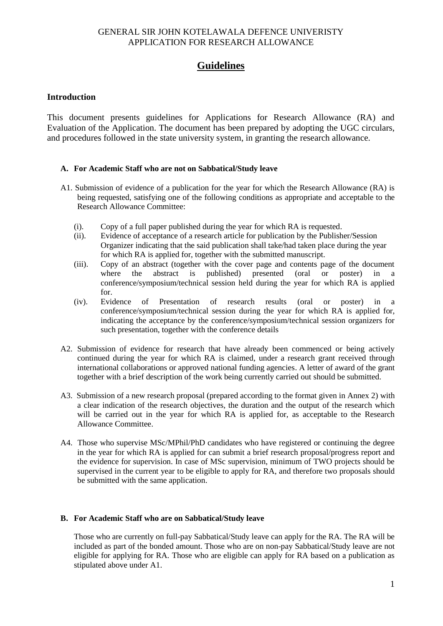# **Guidelines**

#### **Introduction**

This document presents guidelines for Applications for Research Allowance (RA) and Evaluation of the Application. The document has been prepared by adopting the UGC circulars, and procedures followed in the state university system, in granting the research allowance.

#### **A. For Academic Staff who are not on Sabbatical/Study leave**

- A1. Submission of evidence of a publication for the year for which the Research Allowance (RA) is being requested, satisfying one of the following conditions as appropriate and acceptable to the Research Allowance Committee:
	- (i). Copy of a full paper published during the year for which RA is requested.
	- (ii). Evidence of acceptance of a research article for publication by the Publisher/Session Organizer indicating that the said publication shall take/had taken place during the year for which RA is applied for, together with the submitted manuscript.
	- (iii). Copy of an abstract (together with the cover page and contents page of the document where the abstract is published) presented (oral or poster) in a conference/symposium/technical session held during the year for which RA is applied for.
	- (iv). Evidence of Presentation of research results (oral or poster) in a conference/symposium/technical session during the year for which RA is applied for, indicating the acceptance by the conference/symposium/technical session organizers for such presentation, together with the conference details
- A2. Submission of evidence for research that have already been commenced or being actively continued during the year for which RA is claimed, under a research grant received through international collaborations or approved national funding agencies. A letter of award of the grant together with a brief description of the work being currently carried out should be submitted.
- A3. Submission of a new research proposal (prepared according to the format given in Annex 2) with a clear indication of the research objectives, the duration and the output of the research which will be carried out in the year for which RA is applied for, as acceptable to the Research Allowance Committee.
- A4. Those who supervise MSc/MPhil/PhD candidates who have registered or continuing the degree in the year for which RA is applied for can submit a brief research proposal/progress report and the evidence for supervision. In case of MSc supervision, minimum of TWO projects should be supervised in the current year to be eligible to apply for RA, and therefore two proposals should be submitted with the same application.

#### **B. For Academic Staff who are on Sabbatical/Study leave**

Those who are currently on full-pay Sabbatical/Study leave can apply for the RA. The RA will be included as part of the bonded amount. Those who are on non-pay Sabbatical/Study leave are not eligible for applying for RA. Those who are eligible can apply for RA based on a publication as stipulated above under A1.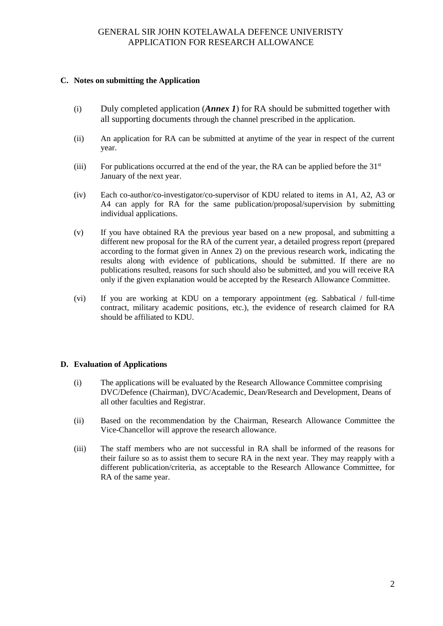#### **C. Notes on submitting the Application**

- (i) Duly completed application (*Annex 1*) for RA should be submitted together with all supporting documents through the channel prescribed in the application.
- (ii) An application for RA can be submitted at anytime of the year in respect of the current year.
- (iii) For publications occurred at the end of the year, the RA can be applied before the  $31<sup>st</sup>$ January of the next year.
- (iv) Each co-author/co-investigator/co-supervisor of KDU related to items in A1, A2, A3 or A4 can apply for RA for the same publication/proposal/supervision by submitting individual applications.
- (v) If you have obtained RA the previous year based on a new proposal, and submitting a different new proposal for the RA of the current year, a detailed progress report (prepared according to the format given in Annex 2) on the previous research work, indicating the results along with evidence of publications, should be submitted. If there are no publications resulted, reasons for such should also be submitted, and you will receive RA only if the given explanation would be accepted by the Research Allowance Committee.
- (vi) If you are working at KDU on a temporary appointment (eg. Sabbatical / full-time contract, military academic positions, etc.), the evidence of research claimed for RA should be affiliated to KDU.

#### **D. Evaluation of Applications**

- (i) The applications will be evaluated by the Research Allowance Committee comprising DVC/Defence (Chairman), DVC/Academic, Dean/Research and Development, Deans of all other faculties and Registrar.
- (ii) Based on the recommendation by the Chairman, Research Allowance Committee the Vice-Chancellor will approve the research allowance.
- (iii) The staff members who are not successful in RA shall be informed of the reasons for their failure so as to assist them to secure RA in the next year. They may reapply with a different publication/criteria, as acceptable to the Research Allowance Committee, for RA of the same year.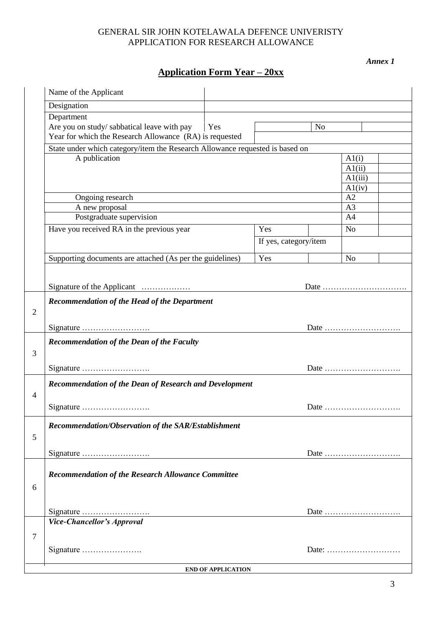*Annex 1*

# **Application Form Year – 20xx**

|                | Name of the Applicant                                                        |     |                       |                |                                                                     |  |  |
|----------------|------------------------------------------------------------------------------|-----|-----------------------|----------------|---------------------------------------------------------------------|--|--|
|                | Designation                                                                  |     |                       |                |                                                                     |  |  |
|                | Department                                                                   |     |                       |                |                                                                     |  |  |
|                | Are you on study/ sabbatical leave with pay                                  | Yes |                       | N <sub>o</sub> |                                                                     |  |  |
|                | Year for which the Research Allowance (RA) is requested                      |     |                       |                |                                                                     |  |  |
|                | State under which category/item the Research Allowance requested is based on |     |                       |                |                                                                     |  |  |
|                | A publication                                                                |     |                       |                | A1(i)                                                               |  |  |
|                |                                                                              |     |                       | A1(ii)         |                                                                     |  |  |
|                |                                                                              |     |                       | A1(iii)        |                                                                     |  |  |
|                | Ongoing research<br>A new proposal                                           |     |                       |                | A1(iv)                                                              |  |  |
|                |                                                                              |     |                       |                | A2                                                                  |  |  |
|                |                                                                              |     |                       |                | A <sub>3</sub>                                                      |  |  |
|                | Postgraduate supervision                                                     |     |                       |                | A <sup>4</sup>                                                      |  |  |
|                | Have you received RA in the previous year                                    | Yes |                       | N <sub>o</sub> |                                                                     |  |  |
|                |                                                                              |     | If yes, category/item |                |                                                                     |  |  |
|                |                                                                              | Yes |                       | N <sub>o</sub> |                                                                     |  |  |
|                | Supporting documents are attached (As per the guidelines)                    |     |                       |                |                                                                     |  |  |
|                |                                                                              |     |                       |                |                                                                     |  |  |
|                | Signature of the Applicant                                                   |     |                       |                |                                                                     |  |  |
|                | <b>Recommendation of the Head of the Department</b>                          |     |                       |                |                                                                     |  |  |
| $\overline{2}$ |                                                                              |     |                       |                |                                                                     |  |  |
|                |                                                                              |     |                       |                |                                                                     |  |  |
|                |                                                                              |     |                       |                |                                                                     |  |  |
|                | <b>Recommendation of the Dean of the Faculty</b>                             |     |                       |                |                                                                     |  |  |
| 3              |                                                                              |     |                       |                |                                                                     |  |  |
|                |                                                                              |     |                       |                |                                                                     |  |  |
|                |                                                                              |     |                       |                | Date $\dots\dots\dots\dots\dots\dots\dots\dots\dots\dots$           |  |  |
|                | Recommendation of the Dean of Research and Development                       |     |                       |                |                                                                     |  |  |
| $\overline{4}$ |                                                                              |     |                       |                |                                                                     |  |  |
|                | Date                                                                         |     |                       |                |                                                                     |  |  |
|                |                                                                              |     |                       |                |                                                                     |  |  |
|                | Recommendation/Observation of the SAR/Establishment                          |     |                       |                |                                                                     |  |  |
| 5              |                                                                              |     |                       |                |                                                                     |  |  |
|                |                                                                              |     |                       |                |                                                                     |  |  |
|                |                                                                              |     |                       |                | Date                                                                |  |  |
|                |                                                                              |     |                       |                |                                                                     |  |  |
|                | <b>Recommendation of the Research Allowance Committee</b>                    |     |                       |                |                                                                     |  |  |
| 6              |                                                                              |     |                       |                |                                                                     |  |  |
|                |                                                                              |     |                       |                |                                                                     |  |  |
|                |                                                                              |     |                       |                | Date $\dots\dots\dots\dots\dots\dots\dots\dots\dots\dots\dots\dots$ |  |  |
|                | Vice-Chancellor's Approval                                                   |     |                       |                |                                                                     |  |  |
| 7              |                                                                              |     |                       |                |                                                                     |  |  |
|                | Signature                                                                    |     |                       |                | Date:                                                               |  |  |
|                |                                                                              |     |                       |                |                                                                     |  |  |
|                | <b>END OF APPLICATION</b>                                                    |     |                       |                |                                                                     |  |  |